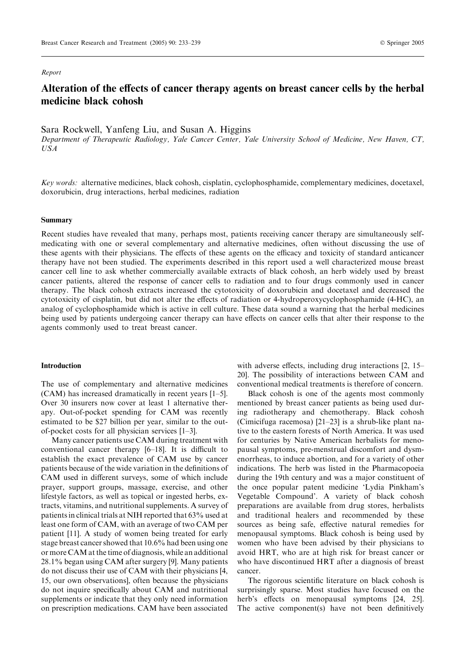# Report

# Alteration of the effects of cancer therapy agents on breast cancer cells by the herbal medicine black cohosh

# Sara Rockwell, Yanfeng Liu, and Susan A. Higgins

Department of Therapeutic Radiology, Yale Cancer Center, Yale University School of Medicine, New Haven, CT, USA

Key words: alternative medicines, black cohosh, cisplatin, cyclophosphamide, complementary medicines, docetaxel, doxorubicin, drug interactions, herbal medicines, radiation

#### Summary

Recent studies have revealed that many, perhaps most, patients receiving cancer therapy are simultaneously selfmedicating with one or several complementary and alternative medicines, often without discussing the use of these agents with their physicians. The effects of these agents on the efficacy and toxicity of standard anticancer therapy have not been studied. The experiments described in this report used a well characterized mouse breast cancer cell line to ask whether commercially available extracts of black cohosh, an herb widely used by breast cancer patients, altered the response of cancer cells to radiation and to four drugs commonly used in cancer therapy. The black cohosh extracts increased the cytotoxicity of doxorubicin and docetaxel and decreased the cytotoxicity of cisplatin, but did not alter the effects of radiation or 4-hydroperoxycyclophosphamide (4-HC), an analog of cyclophosphamide which is active in cell culture. These data sound a warning that the herbal medicines being used by patients undergoing cancer therapy can have effects on cancer cells that alter their response to the agents commonly used to treat breast cancer.

#### Introduction

The use of complementary and alternative medicines (CAM) has increased dramatically in recent years [1–5]. Over 30 insurers now cover at least 1 alternative therapy. Out-of-pocket spending for CAM was recently estimated to be \$27 billion per year, similar to the outof-pocket costs for all physician services [1–3].

Many cancer patients use CAM during treatment with conventional cancer therapy [6–18]. It is difficult to establish the exact prevalence of CAM use by cancer patients because of the wide variation in the definitions of CAM used in different surveys, some of which include prayer, support groups, massage, exercise, and other lifestyle factors, as well as topical or ingested herbs, extracts, vitamins, and nutritional supplements. A survey of patients in clinical trials at NIH reported that 63% used at least one form of CAM, with an average of two CAM per patient [11]. A study of women being treated for early stage breast cancer showed that 10.6% had been using one or more CAM at the time of diagnosis, while an additional 28.1% began using CAM after surgery [9]. Many patients do not discuss their use of CAM with their physicians [4, 15, our own observations], often because the physicians do not inquire specifically about CAM and nutritional supplements or indicate that they only need information on prescription medications. CAM have been associated

with adverse effects, including drug interactions [2, 15– 20]. The possibility of interactions between CAM and conventional medical treatments is therefore of concern.

Black cohosh is one of the agents most commonly mentioned by breast cancer patients as being used during radiotherapy and chemotherapy. Black cohosh (Cimicifuga racemosa) [21–23] is a shrub-like plant native to the eastern forests of North America. It was used for centuries by Native American herbalists for menopausal symptoms, pre-menstrual discomfort and dysmenorrheas, to induce abortion, and for a variety of other indications. The herb was listed in the Pharmacopoeia during the 19th century and was a major constituent of the once popular patent medicine 'Lydia Pinkham's Vegetable Compound'. A variety of black cohosh preparations are available from drug stores, herbalists and traditional healers and recommended by these sources as being safe, effective natural remedies for menopausal symptoms. Black cohosh is being used by women who have been advised by their physicians to avoid HRT, who are at high risk for breast cancer or who have discontinued HRT after a diagnosis of breast cancer.

The rigorous scientific literature on black cohosh is surprisingly sparse. Most studies have focused on the herb's effects on menopausal symptoms [24, 25]. The active component(s) have not been definitively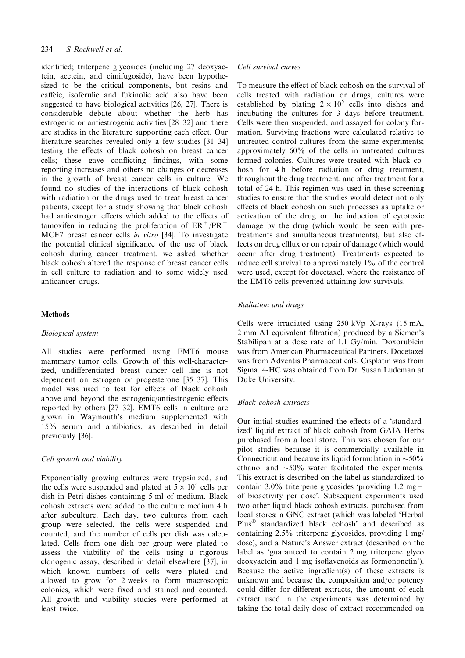# 234 S Rockwell et al.

identified; triterpene glycosides (including 27 deoxyactein, acetein, and cimifugoside), have been hypothesized to be the critical components, but resins and caffeic, isoferulic and fukinolic acid also have been suggested to have biological activities [26, 27]. There is considerable debate about whether the herb has estrogenic or antiestrogenic activities [28–32] and there are studies in the literature supporting each effect. Our literature searches revealed only a few studies [31–34] testing the effects of black cohosh on breast cancer cells; these gave conflicting findings, with some reporting increases and others no changes or decreases in the growth of breast cancer cells in culture. We found no studies of the interactions of black cohosh with radiation or the drugs used to treat breast cancer patients, except for a study showing that black cohosh had antiestrogen effects which added to the effects of tamoxifen in reducing the proliferation of  $ER^+/PR^+$ MCF7 breast cancer cells in vitro [34]. To investigate the potential clinical significance of the use of black cohosh during cancer treatment, we asked whether black cohosh altered the response of breast cancer cells in cell culture to radiation and to some widely used anticancer drugs.

# **Methods**

## Biological system

All studies were performed using EMT6 mouse mammary tumor cells. Growth of this well-characterized, undifferentiated breast cancer cell line is not dependent on estrogen or progesterone [35–37]. This model was used to test for effects of black cohosh above and beyond the estrogenic/antiestrogenic effects reported by others [27–32]. EMT6 cells in culture are grown in Waymouth's medium supplemented with 15% serum and antibiotics, as described in detail previously [36].

### Cell growth and viability

Exponentially growing cultures were trypsinized, and the cells were suspended and plated at  $5 \times 10^4$  cells per dish in Petri dishes containing 5 ml of medium. Black cohosh extracts were added to the culture medium 4 h after subculture. Each day, two cultures from each group were selected, the cells were suspended and counted, and the number of cells per dish was calculated. Cells from one dish per group were plated to assess the viability of the cells using a rigorous clonogenic assay, described in detail elsewhere [37], in which known numbers of cells were plated and allowed to grow for 2 weeks to form macroscopic colonies, which were fixed and stained and counted. All growth and viability studies were performed at least twice.

#### Cell survival curves

To measure the effect of black cohosh on the survival of cells treated with radiation or drugs, cultures were established by plating  $2 \times 10^5$  cells into dishes and incubating the cultures for 3 days before treatment. Cells were then suspended, and assayed for colony formation. Surviving fractions were calculated relative to untreated control cultures from the same experiments; approximately 60% of the cells in untreated cultures formed colonies. Cultures were treated with black cohosh for 4 h before radiation or drug treatment, throughout the drug treatment, and after treatment for a total of 24 h. This regimen was used in these screening studies to ensure that the studies would detect not only effects of black cohosh on such processes as uptake or activation of the drug or the induction of cytotoxic damage by the drug (which would be seen with pretreatments and simultaneous treatments), but also effects on drug efflux or on repair of damage (which would occur after drug treatment). Treatments expected to reduce cell survival to approximately 1% of the control were used, except for docetaxel, where the resistance of the EMT6 cells prevented attaining low survivals.

## Radiation and drugs

Cells were irradiated using 250 kVp X-rays (15 mA, 2 mm A1 equivalent filtration) produced by a Siemen's Stabilipan at a dose rate of 1.1 Gy/min. Doxorubicin was from American Pharmaceutical Partners. Docetaxel was from Adventis Pharmaceuticals. Cisplatin was from Sigma. 4-HC was obtained from Dr. Susan Ludeman at Duke University.

#### Black cohosh extracts

Our initial studies examined the effects of a 'standardized' liquid extract of black cohosh from GAIA Herbs purchased from a local store. This was chosen for our pilot studies because it is commercially available in Connecticut and because its liquid formulation in  $\sim 50\%$ ethanol and  $\sim 50\%$  water facilitated the experiments. This extract is described on the label as standardized to contain 3.0% triterpene glycosides 'providing  $1.2 \text{ mg} +$ of bioactivity per dose'. Subsequent experiments used two other liquid black cohosh extracts, purchased from local stores: a GNC extract (which was labeled 'Herbal Plus<sup>®</sup> standardized black cohosh' and described as containing 2.5% triterpene glycosides, providing 1 mg/ dose), and a Nature's Answer extract (described on the label as 'guaranteed to contain 2 mg triterpene glyco deoxyactein and 1 mg isoflavenoids as formononetin'). Because the active ingredient(s) of these extracts is unknown and because the composition and/or potency could differ for different extracts, the amount of each extract used in the experiments was determined by taking the total daily dose of extract recommended on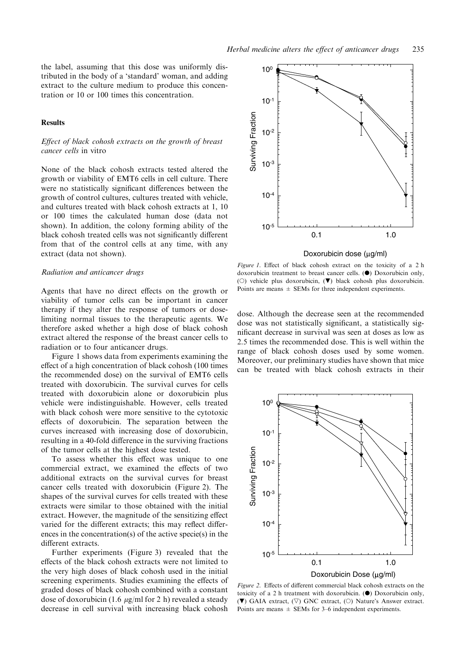the label, assuming that this dose was uniformly distributed in the body of a 'standard' woman, and adding extract to the culture medium to produce this concentration or 10 or 100 times this concentration.

#### **Results**

# Effect of black cohosh extracts on the growth of breast cancer cells in vitro

None of the black cohosh extracts tested altered the growth or viability of EMT6 cells in cell culture. There were no statistically significant differences between the growth of control cultures, cultures treated with vehicle, and cultures treated with black cohosh extracts at 1, 10 or 100 times the calculated human dose (data not shown). In addition, the colony forming ability of the black cohosh treated cells was not significantly different from that of the control cells at any time, with any extract (data not shown).

# Radiation and anticancer drugs

Agents that have no direct effects on the growth or viability of tumor cells can be important in cancer therapy if they alter the response of tumors or doselimiting normal tissues to the therapeutic agents. We therefore asked whether a high dose of black cohosh extract altered the response of the breast cancer cells to radiation or to four anticancer drugs.

Figure 1 shows data from experiments examining the effect of a high concentration of black cohosh (100 times the recommended dose) on the survival of EMT6 cells treated with doxorubicin. The survival curves for cells treated with doxorubicin alone or doxorubicin plus vehicle were indistinguishable. However, cells treated with black cohosh were more sensitive to the cytotoxic effects of doxorubicin. The separation between the curves increased with increasing dose of doxorubicin, resulting in a 40-fold difference in the surviving fractions of the tumor cells at the highest dose tested.

To assess whether this effect was unique to one commercial extract, we examined the effects of two additional extracts on the survival curves for breast cancer cells treated with doxorubicin (Figure 2). The shapes of the survival curves for cells treated with these extracts were similar to those obtained with the initial extract. However, the magnitude of the sensitizing effect varied for the different extracts; this may reflect differences in the concentration(s) of the active specie(s) in the different extracts.

Further experiments (Figure 3) revealed that the effects of the black cohosh extracts were not limited to the very high doses of black cohosh used in the initial screening experiments. Studies examining the effects of graded doses of black cohosh combined with a constant dose of doxorubicin (1.6  $\mu$ g/ml for 2 h) revealed a steady decrease in cell survival with increasing black cohosh



Figure 1. Effect of black cohosh extract on the toxicity of a 2 h doxorubicin treatment to breast cancer cells.  $(\bullet)$  Doxorubicin only, (O) vehicle plus doxorubicin,  $(\nabla)$  black cohosh plus doxorubicin. Points are means  $\pm$  SEMs for three independent experiments.

dose. Although the decrease seen at the recommended dose was not statistically significant, a statistically significant decrease in survival was seen at doses as low as 2.5 times the recommended dose. This is well within the range of black cohosh doses used by some women. Moreover, our preliminary studies have shown that mice can be treated with black cohosh extracts in their



Figure 2. Effects of different commercial black cohosh extracts on the toxicity of a 2 h treatment with doxorubicin.  $(①)$  Doxorubicin only,  $(\nabla)$  GAIA extract,  $(\nabla)$  GNC extract,  $(\bigcirc)$  Nature's Answer extract. Points are means  $\pm$  SEMs for 3–6 independent experiments.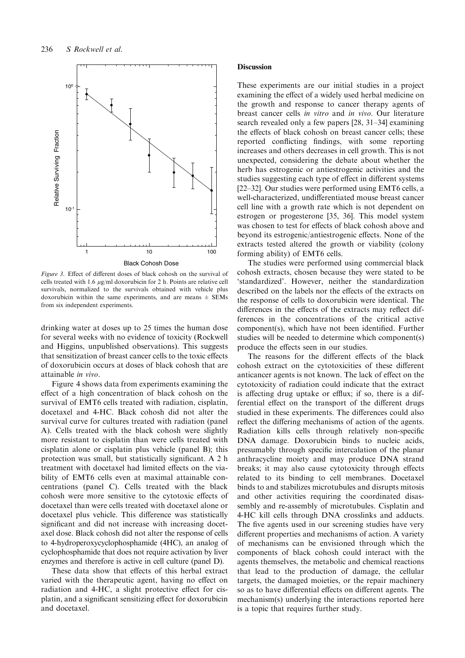

Figure 3. Effect of different doses of black cohosh on the survival of cells treated with 1.6  $\mu$ g/ml doxorubicin for 2 h. Points are relative cell survivals, normalized to the survivals obtained with vehicle plus doxorubicin within the same experiments, and are means  $\pm$  SEMs from six independent experiments.

drinking water at doses up to 25 times the human dose for several weeks with no evidence of toxicity (Rockwell and Higgins, unpublished observations). This suggests that sensitization of breast cancer cells to the toxic effects of doxorubicin occurs at doses of black cohosh that are attainable in vivo.

Figure 4 shows data from experiments examining the effect of a high concentration of black cohosh on the survival of EMT6 cells treated with radiation, cisplatin, docetaxel and 4-HC. Black cohosh did not alter the survival curve for cultures treated with radiation (panel A). Cells treated with the black cohosh were slightly more resistant to cisplatin than were cells treated with cisplatin alone or cisplatin plus vehicle (panel B); this protection was small, but statistically significant. A 2 h treatment with docetaxel had limited effects on the viability of EMT6 cells even at maximal attainable concentrations (panel C). Cells treated with the black cohosh were more sensitive to the cytotoxic effects of docetaxel than were cells treated with docetaxel alone or docetaxel plus vehicle. This difference was statistically significant and did not increase with increasing docetaxel dose. Black cohosh did not alter the response of cells to 4-hydroperoxycyclophosphamide (4HC), an analog of cyclophosphamide that does not require activation by liver enzymes and therefore is active in cell culture (panel D).

These data show that effects of this herbal extract varied with the therapeutic agent, having no effect on radiation and 4-HC, a slight protective effect for cisplatin, and a significant sensitizing effect for doxorubicin and docetaxel.

#### Discussion

These experiments are our initial studies in a project examining the effect of a widely used herbal medicine on the growth and response to cancer therapy agents of breast cancer cells in vitro and in vivo. Our literature search revealed only a few papers [28, 31–34] examining the effects of black cohosh on breast cancer cells; these reported conflicting findings, with some reporting increases and others decreases in cell growth. This is not unexpected, considering the debate about whether the herb has estrogenic or antiestrogenic activities and the studies suggesting each type of effect in different systems [22–32]. Our studies were performed using EMT6 cells, a well-characterized, undifferentiated mouse breast cancer cell line with a growth rate which is not dependent on estrogen or progesterone [35, 36]. This model system was chosen to test for effects of black cohosh above and beyond its estrogenic/antiestrogenic effects. None of the extracts tested altered the growth or viability (colony forming ability) of EMT6 cells.

The studies were performed using commercial black cohosh extracts, chosen because they were stated to be 'standardized'. However, neither the standardization described on the labels nor the effects of the extracts on the response of cells to doxorubicin were identical. The differences in the effects of the extracts may reflect differences in the concentrations of the critical active component(s), which have not been identified. Further studies will be needed to determine which component(s) produce the effects seen in our studies.

The reasons for the different effects of the black cohosh extract on the cytotoxicities of these different anticancer agents is not known. The lack of effect on the cytotoxicity of radiation could indicate that the extract is affecting drug uptake or efflux; if so, there is a differential effect on the transport of the different drugs studied in these experiments. The differences could also reflect the differing mechanisms of action of the agents. Radiation kills cells through relatively non-specific DNA damage. Doxorubicin binds to nucleic acids, presumably through specific intercalation of the planar anthracycline moiety and may produce DNA strand breaks; it may also cause cytotoxicity through effects related to its binding to cell membranes. Docetaxel binds to and stabilizes microtubules and disrupts mitosis and other activities requiring the coordinated disassembly and re-assembly of microtubules. Cisplatin and 4-HC kill cells through DNA crosslinks and adducts. The five agents used in our screening studies have very different properties and mechanisms of action. A variety of mechanisms can be envisioned through which the components of black cohosh could interact with the agents themselves, the metabolic and chemical reactions that lead to the production of damage, the cellular targets, the damaged moieties, or the repair machinery so as to have differential effects on different agents. The mechanism(s) underlying the interactions reported here is a topic that requires further study.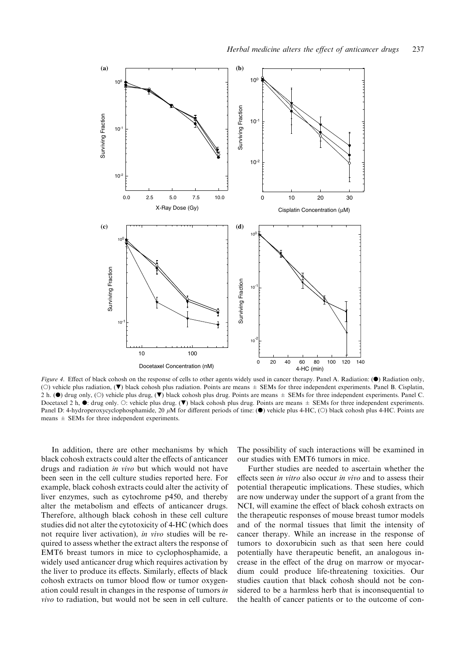

Surviving Fraction Surviving Fraction 10-1  $10^{-2}$  $10^{-2}$ 0.0 2.5 5.0 7.5 10.0 0 10 20 30 X-Ray Dose (Gy) Cisplatin Concentration (µM) **(c) (d)**  $10<sup>1</sup>$  $10$ Surviving Fraction Surviving Fraction Surviving Fraction Surviving Fraction <sup>10</sup>-1 10-1  $10<sup>2</sup>$ 10 100 0 20 40 60 80 100 120 140 Docetaxel Concentration (nM) 4-HC (min)

Figure 4. Effect of black cohosh on the response of cells to other agents widely used in cancer therapy. Panel A. Radiation:  $\bigcirc$  Radiation only, ( $\circ$ ) vehicle plus radiation, ( $\nabla$ ) black cohosh plus radiation. Points are means  $\pm$  SEMs for three independent experiments. Panel B. Cisplatin, 2 h. ( $\bullet$ ) drug only, ( $\circ$ ) vehicle plus drug, ( $\nabla$ ) black cohosh plus drug. Points are means  $\pm$  SEMs for three independent experiments. Panel C. Docetaxel 2 h,  $\bullet$ : drug only.  $\circ$ : vehicle plus drug. ( $\nabla$ ) black cohosh plus drug. Points are means  $\pm$  SEMs for three independent experiments. Panel D: 4-hydroperoxycyclophosphamide, 20  $\mu$ M for different periods of time: ( $\bullet$ ) vehicle plus 4-HC, ( $\circ$ ) black cohosh plus 4-HC. Points are means  $\pm$  SEMs for three independent experiments.

In addition, there are other mechanisms by which black cohosh extracts could alter the effects of anticancer drugs and radiation in vivo but which would not have been seen in the cell culture studies reported here. For example, black cohosh extracts could alter the activity of liver enzymes, such as cytochrome p450, and thereby alter the metabolism and effects of anticancer drugs. Therefore, although black cohosh in these cell culture studies did not alter the cytotoxicity of 4-HC (which does not require liver activation), in vivo studies will be required to assess whether the extract alters the response of EMT6 breast tumors in mice to cyclophosphamide, a widely used anticancer drug which requires activation by the liver to produce its effects. Similarly, effects of black cohosh extracts on tumor blood flow or tumor oxygenation could result in changes in the response of tumors in vivo to radiation, but would not be seen in cell culture.

10

The possibility of such interactions will be examined in our studies with EMT6 tumors in mice.

Further studies are needed to ascertain whether the effects seen *in vitro* also occur *in vivo* and to assess their potential therapeutic implications. These studies, which are now underway under the support of a grant from the NCI, will examine the effect of black cohosh extracts on the therapeutic responses of mouse breast tumor models and of the normal tissues that limit the intensity of cancer therapy. While an increase in the response of tumors to doxorubicin such as that seen here could potentially have therapeutic benefit, an analogous increase in the effect of the drug on marrow or myocardium could produce life-threatening toxicities. Our studies caution that black cohosh should not be considered to be a harmless herb that is inconsequential to the health of cancer patients or to the outcome of con-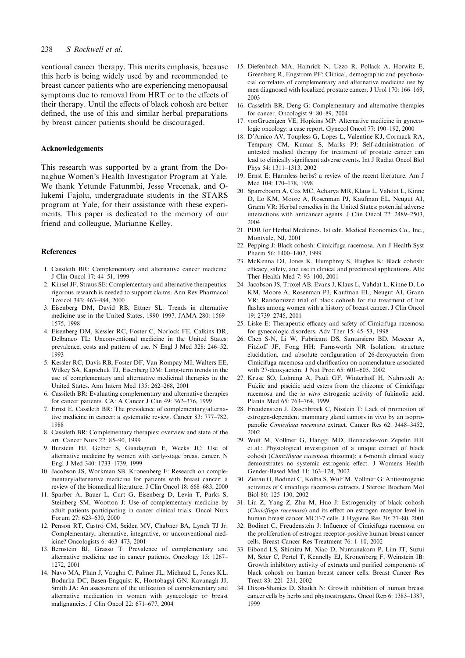#### 238 S Rockwell et al.

ventional cancer therapy. This merits emphasis, because this herb is being widely used by and recommended to breast cancer patients who are experiencing menopausal symptoms due to removal from HRT or to the effects of their therapy. Until the effects of black cohosh are better defined, the use of this and similar herbal preparations by breast cancer patients should be discouraged.

#### Acknowledgements

This research was supported by a grant from the Donaghue Women's Health Investigator Program at Yale. We thank Yetunde Fatunmbi, Jesse Vrecenak, and Olukemi Fajolu, undergraduate students in the STARS program at Yale, for their assistance with these experiments. This paper is dedicated to the memory of our friend and colleague, Marianne Kelley.

#### References

- 1. Cassileth BR: Complementary and alternative cancer medicine. J Clin Oncol 17: 44–51, 1999
- 2. Kinsel JF, Straus SE: Complementary and alternative therapeutics: rigorous research is needed to support claims. Ann Rev Pharmacol Toxicol 343: 463–484, 2000
- 3. Eisenberg DM, David RB, Ettner SL: Trends in alternative medicine use in the United States, 1990–1997. JAMA 280: 1569– 1575, 1998
- 4. Eisenberg DM, Kessler RC, Foster C, Norlock FE, Calkins DR, Delbanco TL: Unconventional medicine in the United States: prevalence, costs and pattern of use. N Engl J Med 328: 246–52, 1993
- 5. Kessler RC, Davis RB, Foster DF, Van Rompay MI, Walters EE, Wilkey SA, Kaptchuk TJ, Eisenberg DM: Long-term trends in the use of complementary and alternative medicinal therapies in the United States. Ann Intern Med 135: 262–268, 2001
- 6. Cassileth BR: Evaluating complementary and alternative therapies for cancer patients. CA: A Cancer J Clin 49: 362–376, 1999
- 7. Ernst E, Cassileth BR: The prevalence of complementary/alternative medicine in cancer: a systematic review. Cancer 83: 777–782, 1988
- 8. Cassileth BR: Complementary therapies: overview and state of the art. Cancer Nurs 22: 85–90, 1999
- 9. Burstein HJ, Gelber S, Guadagnoli E, Weeks JC: Use of alternative medicine by women with early-stage breast cancer. N Engl J Med 340: 1733–1739, 1999
- 10. Jacobson JS, Workman SB, Kronenberg F: Research on complementary/alternative medicine for patients with breast cancer: a review of the biomedical literature. J Clin Oncol 18: 668–683, 2000
- 11. Sparber A, Bauer L, Curt G, Eisenberg D, Levin T, Parks S, Steinberg SM, Wootton J: Use of complementary medicine by adult patients participating in cancer clinical trials. Oncol Nurs Forum 27: 623–630, 2000
- 12. Penson RT, Castro CM, Seiden MV, Chabner BA, Lynch TJ Jr: Complementary, alternative, integrative, or unconventional medicine? Oncologists 6: 463–473, 2001
- 13. Bernstein BJ, Grasso T: Prevalence of complementary and alternative medicine use in cancer patients. Oncology 15: 1267– 1272, 2001
- 14. Navo MA, Phan J, Vaughn C, Palmer JL, Michaud L, Jones KL, Bodurka DC, Basen-Engquist K, Hortobagyi GN, Kavanagh JJ, Smith JA: An assessment of the utilization of complementary and alternative medication in women with gynecologic or breast malignancies. J Clin Oncol 22: 671–677, 2004
- 15. Diefenbach MA, Hamrick N, Uzzo R, Pollack A, Horwitz E, Greenberg R, Engstrom PF: Clinical, demographic and psychosocial correlates of complementary and alternative medicine use by men diagnosed with localized prostate cancer. J Urol 170: 166–169, 2003
- 16. Casselith BR, Deng G: Complementary and alternative therapies for cancer. Oncologist 9: 80–89, 2004
- 17. vonGruenigen VE, Hopkins MP: Alternative medicine in gynecologic oncology: a case report. Gynecol Oncol 77: 190–192, 2000
- 18. D'Amico AV, Toupless G, Lopes L, Valentine KJ, Cormack RA, Tempany CM, Kumar S, Marks PJ: Self-administration of untested medical therapy for treatment of prostate cancer can lead to clinically significant adverse events. Int J Radiat Oncol Biol Phys 54: 1311–1313, 2002
- 19. Ernst E: Harmless herbs? a review of the recent literature. Am J Med 104: 170–178, 1998
- 20. Sparreboom A, Cox MC, Acharya MR, Klaus L, Vahdat L, Kinne D, Lo KM, Moore A, Rosenman PJ, Kaufman EL, Neugut AI, Grann VR: Herbal remedies in the United States: potential adverse interactions with anticancer agents. J Clin Oncol 22: 2489–2503, 2004
- 21. PDR for Herbal Medicines. 1st edn. Medical Economics Co., Inc., Montvale, NJ, 2001
- 22. Pepping J: Black cohosh: Cimicifuga racemosa. Am J Health Syst Pharm 56: 1400–1402, 1999
- 23. McKenna DJ, Jones K, Humphrey S, Hughes K: Black cohosh: efficacy, safety, and use in clinical and preclinical applications. Alte Ther Health Med 7: 93–100, 2001
- 24. Jacobson JS, Troxel AB, Evans J, Klaus L, Vahdat L, Kinne D, Lo KM, Moore A, Rosenman PJ, Kaufman EL, Neugut AI, Grann VR: Randomized trial of black cohosh for the treatment of hot flashes among women with a history of breast cancer. J Clin Oncol 19: 2739–2745, 2001
- 25. Liske E: Therapeutic efficacy and safety of Cimicifuga racemosa for gynecologic disorders. Adv Ther 15: 45–53, 1998
- 26. Chen S-N, Li W, Fabricant DS, Santarsiero BD, Mesecar A, Fitzloff JF, Fong HH: Farnsworth NR Isolation, structure elucidation, and absolute configuration of 26-deoxyactein from Cimicifuga racemosa and clarification on nomenclature associated with 27-deoxyactein. J Nat Prod 65: 601–605, 2002
- 27. Kruse SO, Lohning A, Pauli GF, Winterhoff H, Nahrstedt A: Fukiic and piscidic acid esters from the rhizome of Cimicifuga racemosa and the in vitro estrogenic activity of fukinolic acid. Planta Med 65: 763–764, 1999
- 28. Freudenstein J, Dasenbrock C, Nisslein T: Lack of promotion of estrogen-dependent mammary gland tumors in vivo by an isopropanolic Cimicifuga racemosa extract. Cancer Res 62: 3448–3452, 2002
- 29. Wulf M, Vollmer G, Hanggi MD, Henneicke-von Zepelin HH et al.: Physiological investigation of a unique extract of black cohosh (Cimicifugae racemosa rhizoma): a 6-month clinical study demonstrates no systemic estrogenic effect. J Womens Health Gender-Based Med 11: 163–174, 2002
- 30. Zierau O, Bodinet C, Kolba S, Wulf M, Vollmer G: Antiestrogenic activities of Cimicifuga racemosa extracts. J Steroid Biochem Mol Biol 80: 125–130, 2002
- 31. Liu Z, Yang Z, Zhu M, Huo J: Estrogenicity of black cohosh (Cimicifuga racemosa) and its effect on estrogen receptor level in human breast cancer MCF-7 cells. J Hygiene Res 30: 77–80, 2001
- 32. Bodinet C, Freudenstein J: Influence of Cimicifuga racemosa on the proliferation of estrogen receptor-positive human breast cancer cells. Breast Cancer Res Treatment 76: 1–10, 2002
- 33. Eibond LS, Shimizu M, Xiao D, Nuntanakorn P, Lim JT, Suzui M, Seter C, Pertel T, Kennelly EJ, Kronenberg F, Weinstein IB: Growth inhibitory activity of extracts and purified components of black cohosh on human breast cancer cells. Breast Cancer Res Treat 83: 221–231, 2002
- 34. Dixon-Shanies D, Shaikh N: Growth inhibition of human breast cancer cells by herbs and phytoestrogens. Oncol Rep 6: 1383–1387, 1999